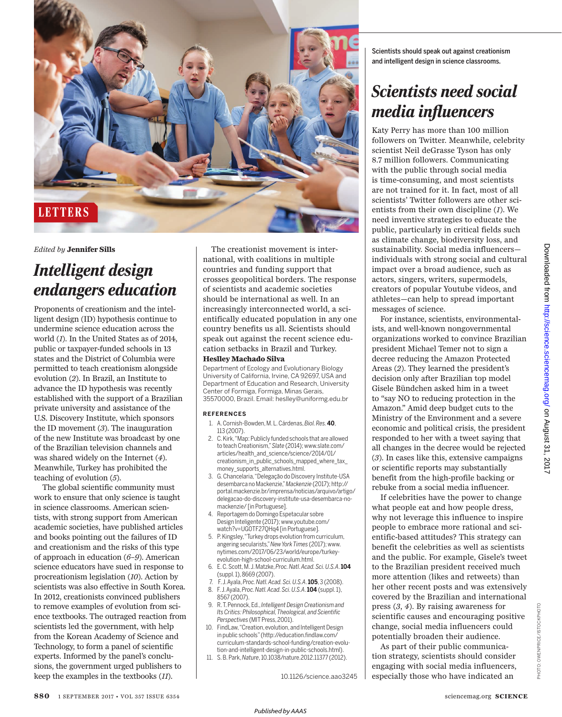

#### *Edited by* **Jennifer Sills**

## *Intelligent design endangers education*

Proponents of creationism and the intelligent design (ID) hypothesis continue to undermine science education across the world (*1*). In the United States as of 2014, public or taxpayer-funded schools in 13 states and the District of Columbia were permitted to teach creationism alongside evolution (*2*). In Brazil, an Institute to advance the ID hypothesis was recently established with the support of a Brazilian private university and assistance of the U.S. Discovery Institute, which sponsors the ID movement (*3*). The inauguration of the new Institute was broadcast by one of the Brazilian television channels and was shared widely on the Internet (*4*). Meanwhile, Turkey has prohibited the teaching of evolution (*5*).

The global scientific community must work to ensure that only science is taught in science classrooms. American scientists, with strong support from American academic societies, have published articles and books pointing out the failures of ID and creationism and the risks of this type of approach in education (*6*–*9*). American science educators have sued in response to procreationism legislation (*10*). Action by scientists was also effective in South Korea. In 2012, creationists convinced publishers to remove examples of evolution from science textbooks. The outraged reaction from scientists led the government, with help from the Korean Academy of Science and Technology, to form a panel of scientific experts. Informed by the panel's conclusions, the government urged publishers to keep the examples in the textbooks (*11*).

The creationist movement is international, with coalitions in multiple countries and funding support that crosses geopolitical borders. The response of scientists and academic societies should be international as well. In an increasingly interconnected world, a scientifically educated population in any one country benefits us all. Scientists should speak out against the recent science education setbacks in Brazil and Turkey. **Heslley Machado Silva** 

Department of Ecology and Evolutionary Biology University of California, Irvine, CA 92697, USA and Department of Education and Research, University Center of Formiga, Formiga, Minas Gerais, 35570000, Brazil. Email: heslley@uniformg.edu.br

#### **REFERENCES**

- 1. A. Cornish-Bowden, M. L. Cárdenas,*Biol. Res.***40**, 113 (2007).
- 2. C. Kirk,"Map: Publicly funded schools that are allowed to teach Creationism,"*Slate* (2014); www.slate.com/ articles/health\_and\_science/science/2014/01/ creationism\_in\_public\_schools\_mapped\_where\_tax\_ money\_supports\_alternatives.html.
- 3. G. Chancelaria,"Delegação do Discovery Institute-USA desembarca no Mackenzie,"*Mackenzie* (2017); http:// portal.mackenzie.br/imprensa/noticias/arquivo/artigo/ delegacao-do-discovery-institute-usa-desembarca-nomackenzie/ [in Portuguese].
- 4. Reportagem do Domingo Espetacular sobre Design Inteligente (2017);www.youtube.com/ watch?v=UG0TF27QHq4 [in Portuguese].
- 5. P. Kingsley,"Turkey drops evolution from curriculum, angering secularists,"*New YorkTimes* (2017); www. nytimes.com/2017/06/23/world/europe/turkeyevolution-high-school-curriculum.html.
- 6. E. C. Scott, M. J. Matzke, *Proc. Natl.Acad. Sci. U.S.A*. **104** (suppl. 1),8669 (2007).
- 7. F. J. Ayala, *Proc. Natl.Acad. Sci.U.S.A*. **105**, 3 (2008).
- 8. F. J. Ayala, *Proc. Natl.Acad. Sci.U.S.A*. **104** (suppl. 1), 8567 (2007).
- 9. R. T. Pennock, Ed., *Intelligent Design Creationismand Its Critics: Philosophical,Theological,and Scientific Perspectives* (MITPress, 2001).
- 10. FindLaw,"Creation,evolution, and Intelligent Design in public schools"(http://education.findlaw.com/ curriculum-standards-school-funding/creation-evolution-and-intelligent-design-in-public-schools.html).
- 11. S. B. Park, *Nature*, 10.1038/nature.2012.11377 (2012).

10.1126/science.aao3245

Scientists should speak out against creationism and intelligent design in science classrooms.

# *Scientists need social media influencers*

Katy Perry has more than 100 million followers on Twitter. Meanwhile, celebrity scientist Neil deGrasse Tyson has only 8.7 million followers. Communicating with the public through social media is time-consuming, and most scientists are not trained for it. In fact, most of all scientists' Twitter followers are other scientists from their own discipline (*1*). We need inventive strategies to educate the public, particularly in critical fields such as climate change, biodiversity loss, and sustainability. Social media influencers individuals with strong social and cultural impact over a broad audience, such as actors, singers, writers, supermodels, creators of popular Youtube videos, and athletes—can help to spread important messages of science.

For instance, scientists, environmentalists, and well-known nongovernmental organizations worked to convince Brazilian president Michael Temer not to sign a decree reducing the Amazon Protected Areas (*2*). They learned the president's decision only after Brazilian top model Gisele Bündchen asked him in a tweet to "say NO to reducing protection in the Amazon." Amid deep budget cuts to the Ministry of the Environment and a severe economic and political crisis, the president responded to her with a tweet saying that all changes in the decree would be rejected (*3*). In cases like this, extensive campaigns or scientific reports may substantially benefit from the high-profile backing or rebuke from a social media influencer.

If celebrities have the power to change what people eat and how people dress, why not leverage this influence to inspire people to embrace more rational and scientific-based attitudes? This strategy can benefit the celebrities as well as scientists and the public. For example, Gisele's tweet to the Brazilian president received much more attention (likes and retweets) than her other recent posts and was extensively covered by the Brazilian and international press (*3*, *4*). By raising awareness for scientific causes and encouraging positive change, social media influencers could potentially broaden their audience.

As part of their public communication strategy, scientists should consider engaging with social media influencers, especially those who have indicated an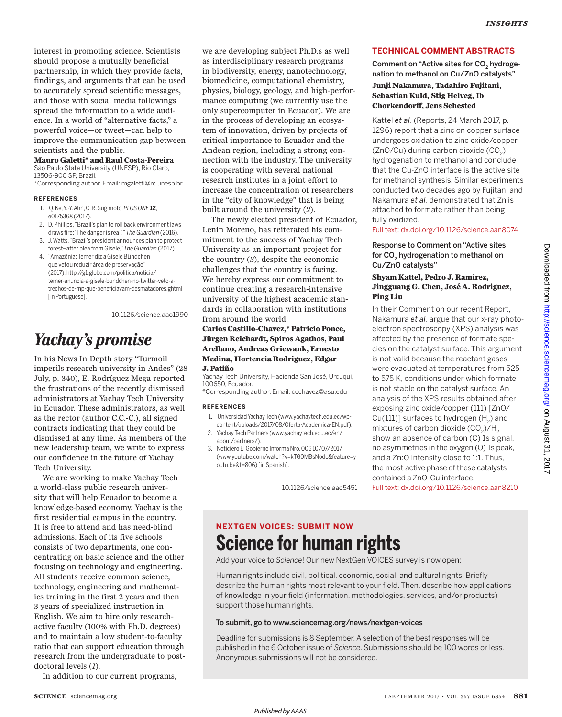interest in promoting science. Scientists should propose a mutually beneficial partnership, in which they provide facts, findings, and arguments that can be used to accurately spread scientific messages, and those with social media followings spread the information to a wide audience. In a world of "alternative facts," a powerful voice—or tweet—can help to improve the communication gap between scientists and the public.

#### **Mauro Galetti\* and Raul Costa-Pereira**

São Paulo State University (UNESP), Rio Claro, 13506-900 SP, Brazil.

\*Corresponding author. Email: mgaletti@rc.unesp.br

#### **REFERENCES**

- 1. Q. Ke, Y.-Y. Ahn, C. R. Sugimoto, *PLOS ONE* **12**, e0175368 (2017).
- 2. D. Phillips,"Brazil's plan to roll back environment laws draws fire:'The danger is real,'"*The Guardian* (2016).
- 3. J.Watts,"Brazil's president announces plan to protect forest–after plea from Gisele,"*The Guardian* (2017).
- 4. "Amazônia: Temer diz a Gisele Bündchen que vetou reduzir área de preservação" (2017); http://g1.globo.com/politica/noticia/ temer-anuncia-a-gisele-bundchen-no-twitter-veto-atrechos-de-mp-que-beneficiavam-desmatadores.ghtml **[in Portuguese].**

10.1126/science.aao1990

## *Yachay's promise*

In his News In Depth story "Turmoil imperils research university in Andes" (28 July, p. 340), E. Rodríguez Mega reported the frustrations of the recently dismissed administrators at Yachay Tech University in Ecuador. These administrators, as well as the rector (author C.C.-C.), all signed contracts indicating that they could be dismissed at any time. As members of the new leadership team, we write to express our confidence in the future of Yachay Tech University.

We are working to make Yachay Tech a world-class public research university that will help Ecuador to become a knowledge-based economy. Yachay is the first residential campus in the country. It is free to attend and has need-blind admissions. Each of its five schools consists of two departments, one concentrating on basic science and the other focusing on technology and engineering. All students receive common science, technology, engineering and mathematics training in the first 2 years and then 3 years of specialized instruction in English. We aim to hire only researchactive faculty (100% with Ph.D. degrees) and to maintain a low student-to-faculty ratio that can support education through research from the undergraduate to postdoctoral levels (*1*).

In addition to our current programs,

we are developing subject Ph.D.s as well as interdisciplinary research programs in biodiversity, energy, nanotechnology, biomedicine, computational chemistry, physics, biology, geology, and high-performance computing (we currently use the only supercomputer in Ecuador). We are in the process of developing an ecosystem of innovation, driven by projects of critical importance to Ecuador and the Andean region, including a strong connection with the industry. The university is cooperating with several national research institutes in a joint effort to increase the concentration of researchers in the "city of knowledge" that is being built around the university (*2*).

The newly elected president of Ecuador, Lenin Moreno, has reiterated his commitment to the success of Yachay Tech University as an important project for the country (*3*), despite the economic challenges that the country is facing. We hereby express our commitment to continue creating a research-intensive university of the highest academic standards in collaboration with institutions from around the world.

### **Carlos Castillo-Chavez,\* Patricio Ponce, Jürgen Reichardt, Spiros Agathos, Paul Arellano, Andreas Griewank, Ernesto Medina, Hortencia Rodriguez, Edgar J. Patiño**

Yachay Tech University, Hacienda San José, Urcuqui, 100650, Ecuador.

\*Corresponding author. Email: ccchavez@asu.edu

#### **REFERENCES**

- 1. Universidad Yachay Tech (www.yachaytech.edu.ec/wpcontent/uploads/2017/08/Oferta-Academica-EN.pdf).
- 2. YachayTech Partners (www.yachaytech.edu.ec/en/ about/partners/).
- 3. Noticiero El Gobierno Informa Nro. 006 10/07/2017 (www.youtube.com/watch?v=kTG0MBsNodc&feature=y outu.be&t=806) [in Spanish].

10.1126/science.aao5451

## **TECHNICAL COMMENT ABSTRACTS**

Comment on "Active sites for CO $_{\textrm{\tiny{2}}}$  hydrogenation to methanol on Cu/ZnO catalysts"

### **Junji Nakamura, Tadahiro Fujitani, Sebastian Kuld, Stig Helveg, Ib Chorkendorff, Jens Sehested**

Kattel *et al*. (Reports, 24 March 2017, p. 1296) report that a zinc on copper surface undergoes oxidation to zinc oxide/copper (ZnO/Cu) during carbon dioxide (CO<sub>2</sub>) hydrogenation to methanol and conclude that the Cu-ZnO interface is the active site for methanol synthesis. Similar experiments conducted two decades ago by Fujitani and Nakamura *et al*. demonstrated that Zn is attached to formate rather than being fully oxidized.

Full text: dx.doi.org/10.1126/science.aan8074

Response to Comment on "Active sites for CO $_{\textrm{\tiny{2}}}$  hydrogenation to methanol on Cu/ZnO catalysts"

## **Shyam Kattel, Pedro J. Ramírez, Jingguang G. Chen, José A. Rodriguez, Ping Liu**

In their Comment on our recent Report, Nakamura *et al*. argue that our x-ray photoelectron spectroscopy (XPS) analysis was affected by the presence of formate species on the catalyst surface. This argument is not valid because the reactant gases were evacuated at temperatures from 525 to 575 K, conditions under which formate is not stable on the catalyst surface. An analysis of the XPS results obtained after exposing zinc oxide/copper (111) [ZnO/ Cu(111)] surfaces to hydrogen (H $_{\textrm{\tiny{2}}}$ ) and mixtures of carbon dioxide (CO $_2$ )/H $_2$ show an absence of carbon (C) 1s signal, no asymmetries in the oxygen (O) 1s peak, and a Zn:O intensity close to 1:1. Thus, the most active phase of these catalysts contained a ZnO-Cu interface.

Full text: dx.doi.org/10.1126/science.aan8210

## **NEXTGEN VOICES: SUBMIT NOW Science for human rights**

Add your voice to *Science*! Our new NextGen VOICES survey is now open:

Human rights include civil, political, economic, social, and cultural rights. Briefly describe the human rights most relevant to your field. Then, describe how applications of knowledge in your field (information, methodologies, services, and/or products) support those human rights.

### To submit, go to www.sciencemag.org/news/nextgen-voices

Deadline for submissions is 8 September. A selection of the best responses will be published in the 6 October issue of *Science*. Submissions should be 100 words or less. Anonymous submissions will not be considered.